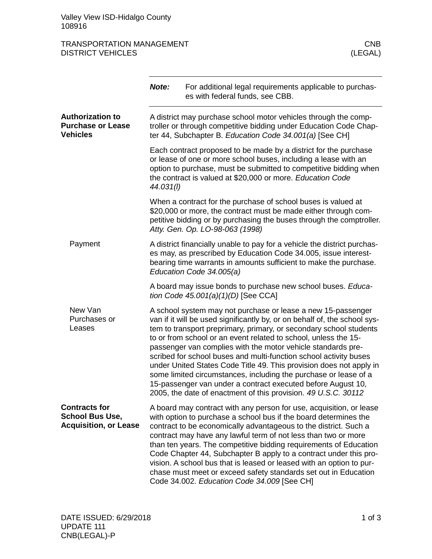## TRANSPORTATION MANAGEMENT<br>DISTRICT VEHICLES (LEGAL) **DISTRICT VEHICLES**

|                                                                                | Note:                                                                                                                                                                                                                                                                                                                                                                                                                                                                                                                                                                                                                                                                                                | For additional legal requirements applicable to purchas-<br>es with federal funds, see CBB.                                                                                                                                                                                                                                                                                                                                                                                                                                                                                                                       |  |
|--------------------------------------------------------------------------------|------------------------------------------------------------------------------------------------------------------------------------------------------------------------------------------------------------------------------------------------------------------------------------------------------------------------------------------------------------------------------------------------------------------------------------------------------------------------------------------------------------------------------------------------------------------------------------------------------------------------------------------------------------------------------------------------------|-------------------------------------------------------------------------------------------------------------------------------------------------------------------------------------------------------------------------------------------------------------------------------------------------------------------------------------------------------------------------------------------------------------------------------------------------------------------------------------------------------------------------------------------------------------------------------------------------------------------|--|
| <b>Authorization to</b><br><b>Purchase or Lease</b><br><b>Vehicles</b>         | A district may purchase school motor vehicles through the comp-<br>troller or through competitive bidding under Education Code Chap-<br>ter 44, Subchapter B. Education Code 34.001(a) [See CH]                                                                                                                                                                                                                                                                                                                                                                                                                                                                                                      |                                                                                                                                                                                                                                                                                                                                                                                                                                                                                                                                                                                                                   |  |
|                                                                                | Each contract proposed to be made by a district for the purchase<br>or lease of one or more school buses, including a lease with an<br>option to purchase, must be submitted to competitive bidding when<br>the contract is valued at \$20,000 or more. Education Code<br>44.031(I)                                                                                                                                                                                                                                                                                                                                                                                                                  |                                                                                                                                                                                                                                                                                                                                                                                                                                                                                                                                                                                                                   |  |
|                                                                                |                                                                                                                                                                                                                                                                                                                                                                                                                                                                                                                                                                                                                                                                                                      | When a contract for the purchase of school buses is valued at<br>\$20,000 or more, the contract must be made either through com-<br>petitive bidding or by purchasing the buses through the comptroller.<br>Atty. Gen. Op. LO-98-063 (1998)                                                                                                                                                                                                                                                                                                                                                                       |  |
| Payment                                                                        | A district financially unable to pay for a vehicle the district purchas-<br>es may, as prescribed by Education Code 34.005, issue interest-<br>bearing time warrants in amounts sufficient to make the purchase.<br>Education Code 34.005(a)                                                                                                                                                                                                                                                                                                                                                                                                                                                         |                                                                                                                                                                                                                                                                                                                                                                                                                                                                                                                                                                                                                   |  |
|                                                                                |                                                                                                                                                                                                                                                                                                                                                                                                                                                                                                                                                                                                                                                                                                      | A board may issue bonds to purchase new school buses. Educa-<br>tion Code $45.001(a)(1)(D)$ [See CCA]                                                                                                                                                                                                                                                                                                                                                                                                                                                                                                             |  |
| New Van<br>Purchases or<br>Leases                                              | A school system may not purchase or lease a new 15-passenger<br>van if it will be used significantly by, or on behalf of, the school sys-<br>tem to transport preprimary, primary, or secondary school students<br>to or from school or an event related to school, unless the 15-<br>passenger van complies with the motor vehicle standards pre-<br>scribed for school buses and multi-function school activity buses<br>under United States Code Title 49. This provision does not apply in<br>some limited circumstances, including the purchase or lease of a<br>15-passenger van under a contract executed before August 10,<br>2005, the date of enactment of this provision. 49 U.S.C. 30112 |                                                                                                                                                                                                                                                                                                                                                                                                                                                                                                                                                                                                                   |  |
| <b>Contracts for</b><br><b>School Bus Use,</b><br><b>Acquisition, or Lease</b> |                                                                                                                                                                                                                                                                                                                                                                                                                                                                                                                                                                                                                                                                                                      | A board may contract with any person for use, acquisition, or lease<br>with option to purchase a school bus if the board determines the<br>contract to be economically advantageous to the district. Such a<br>contract may have any lawful term of not less than two or more<br>than ten years. The competitive bidding requirements of Education<br>Code Chapter 44, Subchapter B apply to a contract under this pro-<br>vision. A school bus that is leased or leased with an option to pur-<br>chase must meet or exceed safety standards set out in Education<br>Code 34.002. Education Code 34.009 [See CH] |  |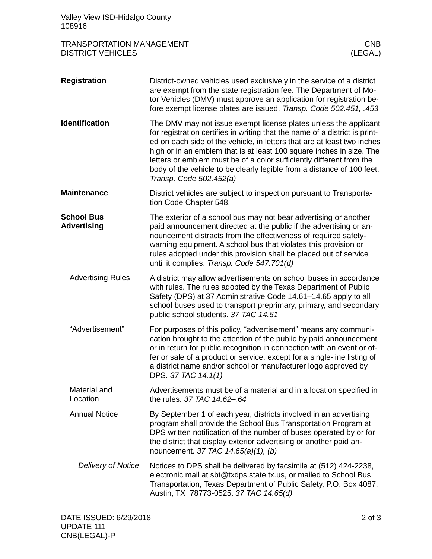| Valley View ISD-Hidalgo County<br>108916                     |                                                                                                                                                                                                                                                                                                                                                                                                                                                                                 |
|--------------------------------------------------------------|---------------------------------------------------------------------------------------------------------------------------------------------------------------------------------------------------------------------------------------------------------------------------------------------------------------------------------------------------------------------------------------------------------------------------------------------------------------------------------|
| <b>TRANSPORTATION MANAGEMENT</b><br><b>DISTRICT VEHICLES</b> | <b>CNB</b><br>(LEGAL)                                                                                                                                                                                                                                                                                                                                                                                                                                                           |
| <b>Registration</b>                                          | District-owned vehicles used exclusively in the service of a district<br>are exempt from the state registration fee. The Department of Mo-<br>tor Vehicles (DMV) must approve an application for registration be-<br>fore exempt license plates are issued. Transp. Code 502.451, .453                                                                                                                                                                                          |
| <b>Identification</b>                                        | The DMV may not issue exempt license plates unless the applicant<br>for registration certifies in writing that the name of a district is print-<br>ed on each side of the vehicle, in letters that are at least two inches<br>high or in an emblem that is at least 100 square inches in size. The<br>letters or emblem must be of a color sufficiently different from the<br>body of the vehicle to be clearly legible from a distance of 100 feet.<br>Transp. Code 502.452(a) |
| <b>Maintenance</b>                                           | District vehicles are subject to inspection pursuant to Transporta-<br>tion Code Chapter 548.                                                                                                                                                                                                                                                                                                                                                                                   |
| <b>School Bus</b><br><b>Advertising</b>                      | The exterior of a school bus may not bear advertising or another<br>paid announcement directed at the public if the advertising or an-<br>nouncement distracts from the effectiveness of required safety-<br>warning equipment. A school bus that violates this provision or<br>rules adopted under this provision shall be placed out of service<br>until it complies. Transp. Code 547.701(d)                                                                                 |
| <b>Advertising Rules</b>                                     | A district may allow advertisements on school buses in accordance<br>with rules. The rules adopted by the Texas Department of Public<br>Safety (DPS) at 37 Administrative Code 14.61-14.65 apply to all<br>school buses used to transport preprimary, primary, and secondary<br>public school students. 37 TAC 14.61                                                                                                                                                            |
| "Advertisement"                                              | For purposes of this policy, "advertisement" means any communi-<br>cation brought to the attention of the public by paid announcement<br>or in return for public recognition in connection with an event or of-<br>fer or sale of a product or service, except for a single-line listing of<br>a district name and/or school or manufacturer logo approved by<br>DPS. 37 TAC 14.1(1)                                                                                            |
| Material and<br>Location                                     | Advertisements must be of a material and in a location specified in<br>the rules. 37 TAC 14.62-.64                                                                                                                                                                                                                                                                                                                                                                              |
| <b>Annual Notice</b>                                         | By September 1 of each year, districts involved in an advertising<br>program shall provide the School Bus Transportation Program at<br>DPS written notification of the number of buses operated by or for<br>the district that display exterior advertising or another paid an-<br>nouncement. 37 TAC 14.65(a)(1), (b)                                                                                                                                                          |
| Delivery of Notice                                           | Notices to DPS shall be delivered by facsimile at (512) 424-2238,<br>electronic mail at sbt@txdps.state.tx.us, or mailed to School Bus<br>Transportation, Texas Department of Public Safety, P.O. Box 4087,<br>Austin, TX 78773-0525. 37 TAC 14.65(d)                                                                                                                                                                                                                           |